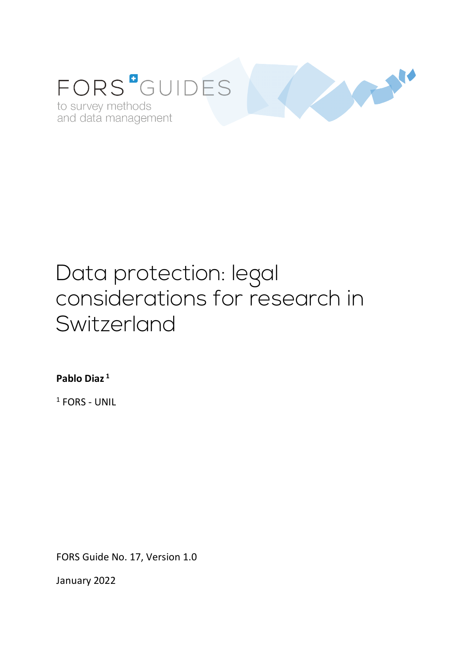

# Data protection: legal considerations for research in Switzerland

**Pablo Diaz <sup>1</sup>**

<sup>1</sup> FORS - UNIL

FORS Guide No. 17, Version 1.0

January 2022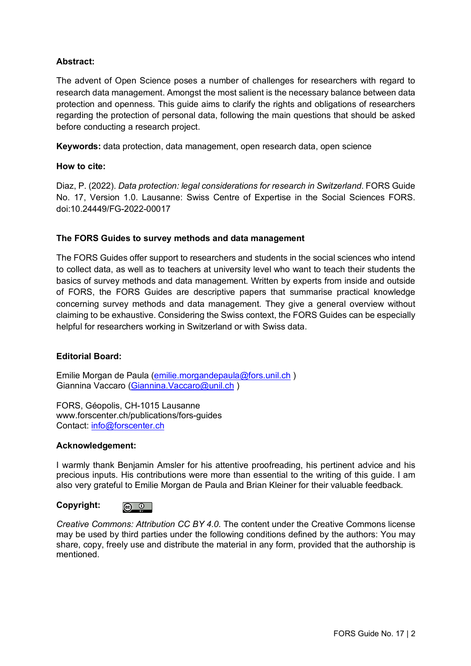## **Abstract:**

The advent of Open Science poses a number of challenges for researchers with regard to research data management. Amongst the most salient is the necessary balance between data protection and openness. This guide aims to clarify the rights and obligations of researchers regarding the protection of personal data, following the main questions that should be asked before conducting a research project.

**Keywords:** data protection, data management, open research data, open science

#### **How to cite:**

Diaz, P. (2022). *Data protection: legal considerations for research in Switzerland*. FORS Guide No. 17, Version 1.0. Lausanne: Swiss Centre of Expertise in the Social Sciences FORS. doi:10.24449/FG-2022-00017

#### **The FORS Guides to survey methods and data management**

The FORS Guides offer support to researchers and students in the social sciences who intend to collect data, as well as to teachers at university level who want to teach their students the basics of survey methods and data management. Written by experts from inside and outside of FORS, the FORS Guides are descriptive papers that summarise practical knowledge concerning survey methods and data management. They give a general overview without claiming to be exhaustive. Considering the Swiss context, the FORS Guides can be especially helpful for researchers working in Switzerland or with Swiss data.

#### **Editorial Board:**

Emilie Morgan de Paula (emilie.morgandepaula@fors.unil.ch ) Giannina Vaccaro (Giannina.Vaccaro@unil.ch )

FORS, Géopolis, CH-1015 Lausanne www.forscenter.ch/publications/fors-guides Contact: info@forscenter.ch

#### **Acknowledgement:**

I warmly thank Benjamin Amsler for his attentive proofreading, his pertinent advice and his precious inputs. His contributions were more than essential to the writing of this guide. I am also very grateful to Emilie Morgan de Paula and Brian Kleiner for their valuable feedback.

#### **Copyright:**



*Creative Commons: Attribution CC BY 4.0.* The content under the Creative Commons license may be used by third parties under the following conditions defined by the authors: You may share, copy, freely use and distribute the material in any form, provided that the authorship is mentioned.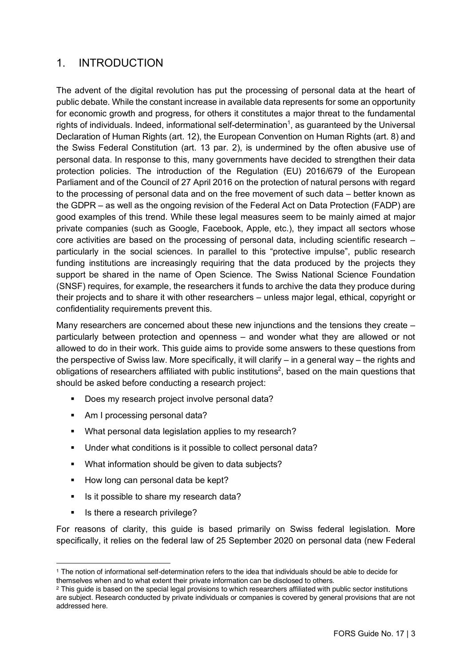# 1. INTRODUCTION

The advent of the digital revolution has put the processing of personal data at the heart of public debate. While the constant increase in available data represents for some an opportunity for economic growth and progress, for others it constitutes a major threat to the fundamental rights of individuals. Indeed, informational self-determination<sup>1</sup>, as guaranteed by the Universal Declaration of Human Rights (art. 12), the European Convention on Human Rights (art. 8) and the Swiss Federal Constitution (art. 13 par. 2), is undermined by the often abusive use of personal data. In response to this, many governments have decided to strengthen their data protection policies. The introduction of the Regulation (EU) 2016/679 of the European Parliament and of the Council of 27 April 2016 on the protection of natural persons with regard to the processing of personal data and on the free movement of such data – better known as the GDPR – as well as the ongoing revision of the Federal Act on Data Protection (FADP) are good examples of this trend. While these legal measures seem to be mainly aimed at major private companies (such as Google, Facebook, Apple, etc.), they impact all sectors whose core activities are based on the processing of personal data, including scientific research – particularly in the social sciences. In parallel to this "protective impulse", public research funding institutions are increasingly requiring that the data produced by the projects they support be shared in the name of Open Science. The Swiss National Science Foundation (SNSF) requires, for example, the researchers it funds to archive the data they produce during their projects and to share it with other researchers – unless major legal, ethical, copyright or confidentiality requirements prevent this.

Many researchers are concerned about these new injunctions and the tensions they create – particularly between protection and openness – and wonder what they are allowed or not allowed to do in their work. This guide aims to provide some answers to these questions from the perspective of Swiss law. More specifically, it will clarify – in a general way – the rights and obligations of researchers affiliated with public institutions<sup>2</sup>, based on the main questions that should be asked before conducting a research project:

- Does my research project involve personal data?
- Am I processing personal data?
- What personal data legislation applies to my research?
- Under what conditions is it possible to collect personal data?
- What information should be given to data subjects?
- How long can personal data be kept?
- Is it possible to share my research data?
- Is there a research privilege?

<u>.</u>

For reasons of clarity, this guide is based primarily on Swiss federal legislation. More specifically, it relies on the federal law of 25 September 2020 on personal data (new Federal

<sup>1</sup> The notion of informational self-determination refers to the idea that individuals should be able to decide for themselves when and to what extent their private information can be disclosed to others.

<sup>2</sup> This guide is based on the special legal provisions to which researchers affiliated with public sector institutions are subject. Research conducted by private individuals or companies is covered by general provisions that are not addressed here.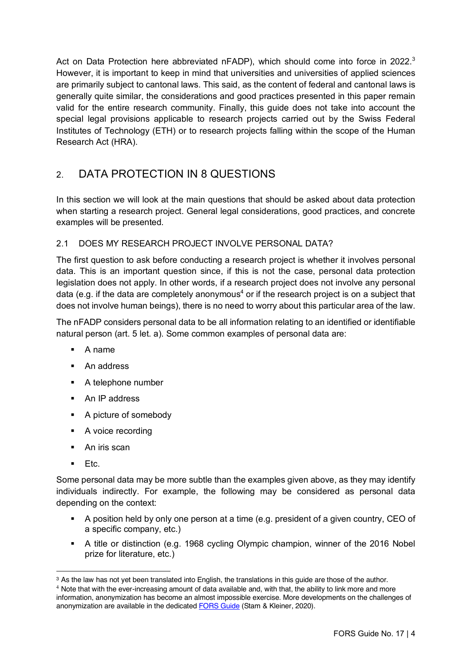Act on Data Protection here abbreviated nFADP), which should come into force in 2022. $3$ However, it is important to keep in mind that universities and universities of applied sciences are primarily subject to cantonal laws. This said, as the content of federal and cantonal laws is generally quite similar, the considerations and good practices presented in this paper remain valid for the entire research community. Finally, this guide does not take into account the special legal provisions applicable to research projects carried out by the Swiss Federal Institutes of Technology (ETH) or to research projects falling within the scope of the Human Research Act (HRA).

# 2. DATA PROTECTION IN 8 QUESTIONS

In this section we will look at the main questions that should be asked about data protection when starting a research project. General legal considerations, good practices, and concrete examples will be presented.

## 2.1 DOES MY RESEARCH PROJECT INVOLVE PERSONAL DATA?

The first question to ask before conducting a research project is whether it involves personal data. This is an important question since, if this is not the case, personal data protection legislation does not apply. In other words, if a research project does not involve any personal data (e.g. if the data are completely anonymous<sup>4</sup> or if the research project is on a subject that does not involve human beings), there is no need to worry about this particular area of the law.

The nFADP considers personal data to be all information relating to an identified or identifiable natural person (art. 5 let. a). Some common examples of personal data are:

- § A name
- An address
- A telephone number
- An IP address
- A picture of somebody
- A voice recording
- An iris scan
- Etc.

Some personal data may be more subtle than the examples given above, as they may identify individuals indirectly. For example, the following may be considered as personal data depending on the context:

- § A position held by only one person at a time (e.g. president of a given country, CEO of a specific company, etc.)
- § A title or distinction (e.g. 1968 cycling Olympic champion, winner of the 2016 Nobel prize for literature, etc.)

<sup>1</sup> <sup>3</sup> As the law has not yet been translated into English, the translations in this guide are those of the author.

 $4$  Note that with the ever-increasing amount of data available and, with that, the ability to link more and more information, anonymization has become an almost impossible exercise. More developments on the challenges of anonymization are available in the dedicated FORS Guide (Stam & Kleiner, 2020).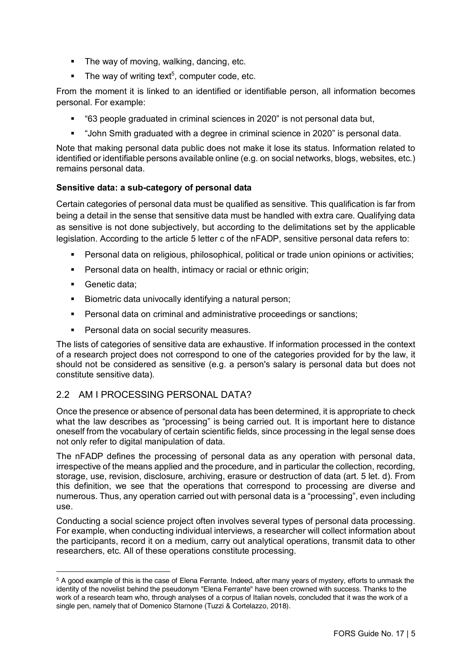- The way of moving, walking, dancing, etc.
- The way of writing text<sup>5</sup>, computer code, etc.

From the moment it is linked to an identified or identifiable person, all information becomes personal. For example:

- § "63 people graduated in criminal sciences in 2020" is not personal data but,
- § "John Smith graduated with a degree in criminal science in 2020" is personal data.

Note that making personal data public does not make it lose its status. Information related to identified or identifiable persons available online (e.g. on social networks, blogs, websites, etc.) remains personal data.

#### **Sensitive data: a sub-category of personal data**

Certain categories of personal data must be qualified as sensitive. This qualification is far from being a detail in the sense that sensitive data must be handled with extra care. Qualifying data as sensitive is not done subjectively, but according to the delimitations set by the applicable legislation. According to the article 5 letter c of the nFADP, sensitive personal data refers to:

- Personal data on religious, philosophical, political or trade union opinions or activities;
- **•** Personal data on health, intimacy or racial or ethnic origin;
- Genetic data:

1

- **•** Biometric data univocally identifying a natural person;
- Personal data on criminal and administrative proceedings or sanctions;
- Personal data on social security measures.

The lists of categories of sensitive data are exhaustive. If information processed in the context of a research project does not correspond to one of the categories provided for by the law, it should not be considered as sensitive (e.g. a person's salary is personal data but does not constitute sensitive data).

## 2.2 AM I PROCESSING PERSONAL DATA?

Once the presence or absence of personal data has been determined, it is appropriate to check what the law describes as "processing" is being carried out. It is important here to distance oneself from the vocabulary of certain scientific fields, since processing in the legal sense does not only refer to digital manipulation of data.

The nFADP defines the processing of personal data as any operation with personal data, irrespective of the means applied and the procedure, and in particular the collection, recording, storage, use, revision, disclosure, archiving, erasure or destruction of data (art. 5 let. d). From this definition, we see that the operations that correspond to processing are diverse and numerous. Thus, any operation carried out with personal data is a "processing", even including use.

Conducting a social science project often involves several types of personal data processing. For example, when conducting individual interviews, a researcher will collect information about the participants, record it on a medium, carry out analytical operations, transmit data to other researchers, etc. All of these operations constitute processing.

<sup>5</sup> A good example of this is the case of Elena Ferrante. Indeed, after many years of mystery, efforts to unmask the identity of the novelist behind the pseudonym "Elena Ferrante" have been crowned with success. Thanks to the work of a research team who, through analyses of a corpus of Italian novels, concluded that it was the work of a single pen, namely that of Domenico Starnone (Tuzzi & Cortelazzo, 2018).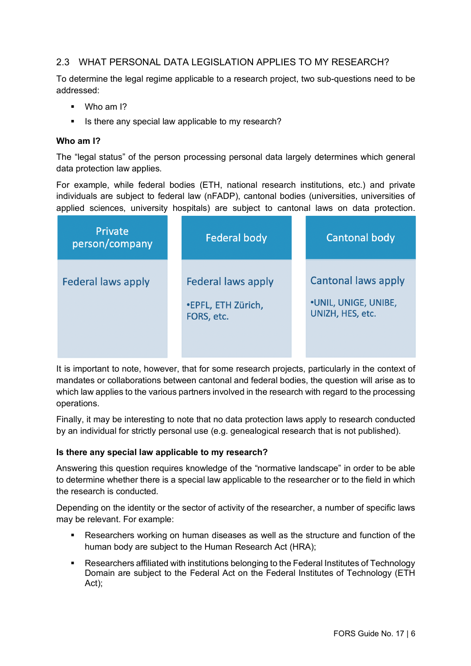## 2.3 WHAT PERSONAL DATA LEGISLATION APPLIES TO MY RESEARCH?

To determine the legal regime applicable to a research project, two sub-questions need to be addressed:

- Who am I?
- Is there any special law applicable to my research?

#### **Who am I?**

The "legal status" of the person processing personal data largely determines which general data protection law applies.

For example, while federal bodies (ETH, national research institutions, etc.) and private individuals are subject to federal law (nFADP), cantonal bodies (universities, universities of applied sciences, university hospitals) are subject to cantonal laws on data protection.

| Private<br>person/company | <b>Federal body</b>                                           | <b>Cantonal body</b>                                                          |
|---------------------------|---------------------------------------------------------------|-------------------------------------------------------------------------------|
| <b>Federal laws apply</b> | <b>Federal laws apply</b><br>•EPFL, ETH Zürich,<br>FORS, etc. | <b>Cantonal laws apply</b><br><b>.UNIL, UNIGE, UNIBE,</b><br>UNIZH, HES, etc. |

It is important to note, however, that for some research projects, particularly in the context of mandates or collaborations between cantonal and federal bodies, the question will arise as to which law applies to the various partners involved in the research with regard to the processing operations.

Finally, it may be interesting to note that no data protection laws apply to research conducted by an individual for strictly personal use (e.g. genealogical research that is not published).

#### **Is there any special law applicable to my research?**

Answering this question requires knowledge of the "normative landscape" in order to be able to determine whether there is a special law applicable to the researcher or to the field in which the research is conducted.

Depending on the identity or the sector of activity of the researcher, a number of specific laws may be relevant. For example:

- Researchers working on human diseases as well as the structure and function of the human body are subject to the Human Research Act (HRA);
- § Researchers affiliated with institutions belonging to the Federal Institutes of Technology Domain are subject to the Federal Act on the Federal Institutes of Technology (ETH Act);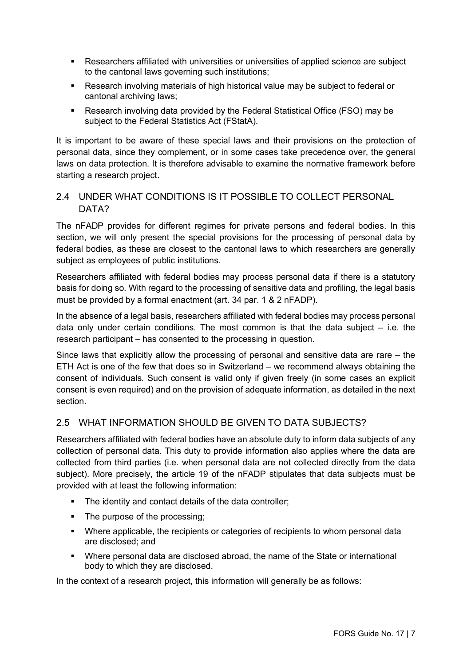- Researchers affiliated with universities or universities of applied science are subject to the cantonal laws governing such institutions;
- Research involving materials of high historical value may be subject to federal or cantonal archiving laws;
- Research involving data provided by the Federal Statistical Office (FSO) may be subject to the Federal Statistics Act (FStatA).

It is important to be aware of these special laws and their provisions on the protection of personal data, since they complement, or in some cases take precedence over, the general laws on data protection. It is therefore advisable to examine the normative framework before starting a research project.

## 2.4 UNDER WHAT CONDITIONS IS IT POSSIBLE TO COLLECT PERSONAL DATA?

The nFADP provides for different regimes for private persons and federal bodies. In this section, we will only present the special provisions for the processing of personal data by federal bodies, as these are closest to the cantonal laws to which researchers are generally subject as employees of public institutions.

Researchers affiliated with federal bodies may process personal data if there is a statutory basis for doing so. With regard to the processing of sensitive data and profiling, the legal basis must be provided by a formal enactment (art. 34 par. 1 & 2 nFADP).

In the absence of a legal basis, researchers affiliated with federal bodies may process personal data only under certain conditions. The most common is that the data subject  $-$  i.e. the research participant – has consented to the processing in question.

Since laws that explicitly allow the processing of personal and sensitive data are rare  $-$  the ETH Act is one of the few that does so in Switzerland – we recommend always obtaining the consent of individuals. Such consent is valid only if given freely (in some cases an explicit consent is even required) and on the provision of adequate information, as detailed in the next section.

## 2.5 WHAT INFORMATION SHOULD BE GIVEN TO DATA SUBJECTS?

Researchers affiliated with federal bodies have an absolute duty to inform data subjects of any collection of personal data. This duty to provide information also applies where the data are collected from third parties (i.e. when personal data are not collected directly from the data subject). More precisely, the article 19 of the nFADP stipulates that data subjects must be provided with at least the following information:

- The identity and contact details of the data controller;
- The purpose of the processing;
- Where applicable, the recipients or categories of recipients to whom personal data are disclosed; and
- § Where personal data are disclosed abroad, the name of the State or international body to which they are disclosed.

In the context of a research project, this information will generally be as follows: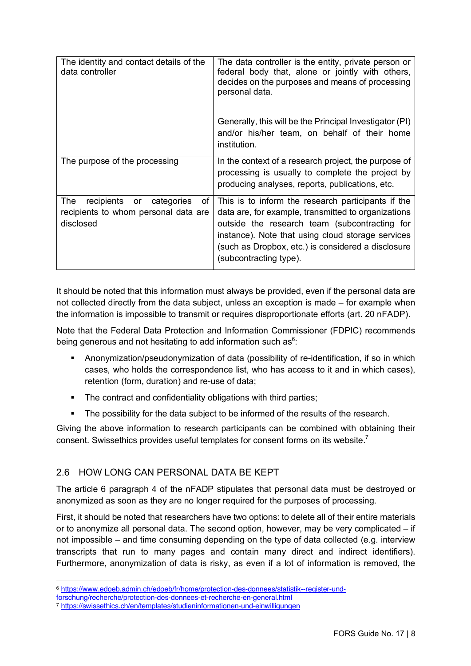| The identity and contact details of the<br>data controller                                    | The data controller is the entity, private person or<br>federal body that, alone or jointly with others,<br>decides on the purposes and means of processing<br>personal data.                                                                                                                   |
|-----------------------------------------------------------------------------------------------|-------------------------------------------------------------------------------------------------------------------------------------------------------------------------------------------------------------------------------------------------------------------------------------------------|
|                                                                                               | Generally, this will be the Principal Investigator (PI)<br>and/or his/her team, on behalf of their home<br>institution.                                                                                                                                                                         |
| The purpose of the processing                                                                 | In the context of a research project, the purpose of<br>processing is usually to complete the project by<br>producing analyses, reports, publications, etc.                                                                                                                                     |
| The<br>recipients or<br>categories<br>οf<br>recipients to whom personal data are<br>disclosed | This is to inform the research participants if the<br>data are, for example, transmitted to organizations<br>outside the research team (subcontracting for<br>instance). Note that using cloud storage services<br>(such as Dropbox, etc.) is considered a disclosure<br>(subcontracting type). |

It should be noted that this information must always be provided, even if the personal data are not collected directly from the data subject, unless an exception is made – for example when the information is impossible to transmit or requires disproportionate efforts (art. 20 nFADP).

Note that the Federal Data Protection and Information Commissioner (FDPIC) recommends being generous and not hesitating to add information such as $6$ :

- **•** Anonymization/pseudonymization of data (possibility of re-identification, if so in which cases, who holds the correspondence list, who has access to it and in which cases), retention (form, duration) and re-use of data;
- The contract and confidentiality obligations with third parties:
- The possibility for the data subject to be informed of the results of the research.

Giving the above information to research participants can be combined with obtaining their consent. Swissethics provides useful templates for consent forms on its website.<sup>7</sup>

## 2.6 HOW LONG CAN PERSONAL DATA BE KEPT

The article 6 paragraph 4 of the nFADP stipulates that personal data must be destroyed or anonymized as soon as they are no longer required for the purposes of processing.

First, it should be noted that researchers have two options: to delete all of their entire materials or to anonymize all personal data. The second option, however, may be very complicated – if not impossible – and time consuming depending on the type of data collected (e.g. interview transcripts that run to many pages and contain many direct and indirect identifiers). Furthermore, anonymization of data is risky, as even if a lot of information is removed, the

1

<sup>6</sup> https://www.edoeb.admin.ch/edoeb/fr/home/protection-des-donnees/statistik--register-und-

forschung/recherche/protection-des-donnees-et-recherche-en-general.html

<sup>7</sup> https://swissethics.ch/en/templates/studieninformationen-und-einwilligungen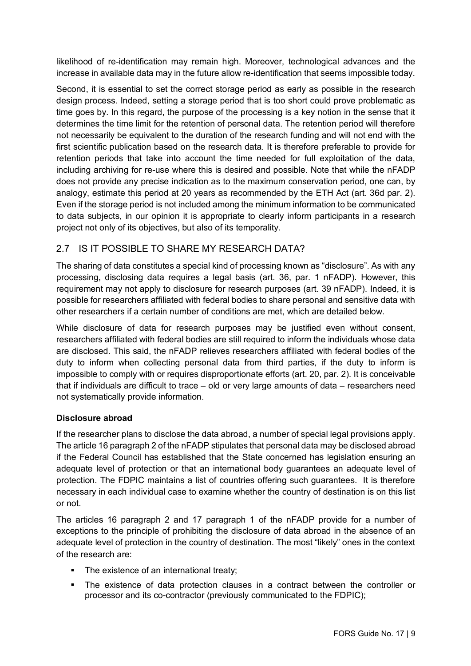likelihood of re-identification may remain high. Moreover, technological advances and the increase in available data may in the future allow re-identification that seems impossible today.

Second, it is essential to set the correct storage period as early as possible in the research design process. Indeed, setting a storage period that is too short could prove problematic as time goes by. In this regard, the purpose of the processing is a key notion in the sense that it determines the time limit for the retention of personal data. The retention period will therefore not necessarily be equivalent to the duration of the research funding and will not end with the first scientific publication based on the research data. It is therefore preferable to provide for retention periods that take into account the time needed for full exploitation of the data, including archiving for re-use where this is desired and possible. Note that while the nFADP does not provide any precise indication as to the maximum conservation period, one can, by analogy, estimate this period at 20 years as recommended by the ETH Act (art. 36d par. 2). Even if the storage period is not included among the minimum information to be communicated to data subjects, in our opinion it is appropriate to clearly inform participants in a research project not only of its objectives, but also of its temporality.

## 2.7 IS IT POSSIBLE TO SHARE MY RESEARCH DATA?

The sharing of data constitutes a special kind of processing known as "disclosure". As with any processing, disclosing data requires a legal basis (art. 36, par. 1 nFADP). However, this requirement may not apply to disclosure for research purposes (art. 39 nFADP). Indeed, it is possible for researchers affiliated with federal bodies to share personal and sensitive data with other researchers if a certain number of conditions are met, which are detailed below.

While disclosure of data for research purposes may be justified even without consent, researchers affiliated with federal bodies are still required to inform the individuals whose data are disclosed. This said, the nFADP relieves researchers affiliated with federal bodies of the duty to inform when collecting personal data from third parties, if the duty to inform is impossible to comply with or requires disproportionate efforts (art. 20, par. 2). It is conceivable that if individuals are difficult to trace – old or very large amounts of data – researchers need not systematically provide information.

### **Disclosure abroad**

If the researcher plans to disclose the data abroad, a number of special legal provisions apply. The article 16 paragraph 2 of the nFADP stipulates that personal data may be disclosed abroad if the Federal Council has established that the State concerned has legislation ensuring an adequate level of protection or that an international body guarantees an adequate level of protection. The FDPIC maintains a list of countries offering such guarantees. It is therefore necessary in each individual case to examine whether the country of destination is on this list or not.

The articles 16 paragraph 2 and 17 paragraph 1 of the nFADP provide for a number of exceptions to the principle of prohibiting the disclosure of data abroad in the absence of an adequate level of protection in the country of destination. The most "likely" ones in the context of the research are:

- The existence of an international treaty;
- § The existence of data protection clauses in a contract between the controller or processor and its co-contractor (previously communicated to the FDPIC);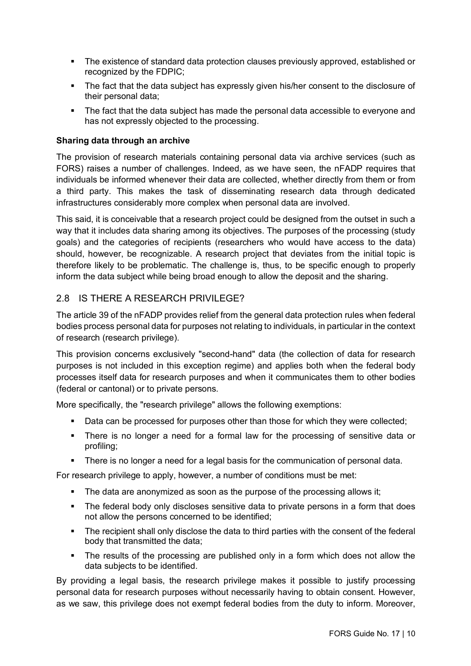- The existence of standard data protection clauses previously approved, established or recognized by the FDPIC;
- The fact that the data subject has expressly given his/her consent to the disclosure of their personal data;
- The fact that the data subiect has made the personal data accessible to everyone and has not expressly objected to the processing.

#### **Sharing data through an archive**

The provision of research materials containing personal data via archive services (such as FORS) raises a number of challenges. Indeed, as we have seen, the nFADP requires that individuals be informed whenever their data are collected, whether directly from them or from a third party. This makes the task of disseminating research data through dedicated infrastructures considerably more complex when personal data are involved.

This said, it is conceivable that a research project could be designed from the outset in such a way that it includes data sharing among its objectives. The purposes of the processing (study goals) and the categories of recipients (researchers who would have access to the data) should, however, be recognizable. A research project that deviates from the initial topic is therefore likely to be problematic. The challenge is, thus, to be specific enough to properly inform the data subject while being broad enough to allow the deposit and the sharing.

## 2.8 IS THERE A RESEARCH PRIVILEGE?

The article 39 of the nFADP provides relief from the general data protection rules when federal bodies process personal data for purposes not relating to individuals, in particular in the context of research (research privilege).

This provision concerns exclusively "second-hand" data (the collection of data for research purposes is not included in this exception regime) and applies both when the federal body processes itself data for research purposes and when it communicates them to other bodies (federal or cantonal) or to private persons.

More specifically, the "research privilege" allows the following exemptions:

- Data can be processed for purposes other than those for which they were collected;
- There is no longer a need for a formal law for the processing of sensitive data or profiling;
- There is no longer a need for a legal basis for the communication of personal data.

For research privilege to apply, however, a number of conditions must be met:

- The data are anonymized as soon as the purpose of the processing allows it:
- The federal body only discloses sensitive data to private persons in a form that does not allow the persons concerned to be identified;
- The recipient shall only disclose the data to third parties with the consent of the federal body that transmitted the data;
- The results of the processing are published only in a form which does not allow the data subjects to be identified.

By providing a legal basis, the research privilege makes it possible to justify processing personal data for research purposes without necessarily having to obtain consent. However, as we saw, this privilege does not exempt federal bodies from the duty to inform. Moreover,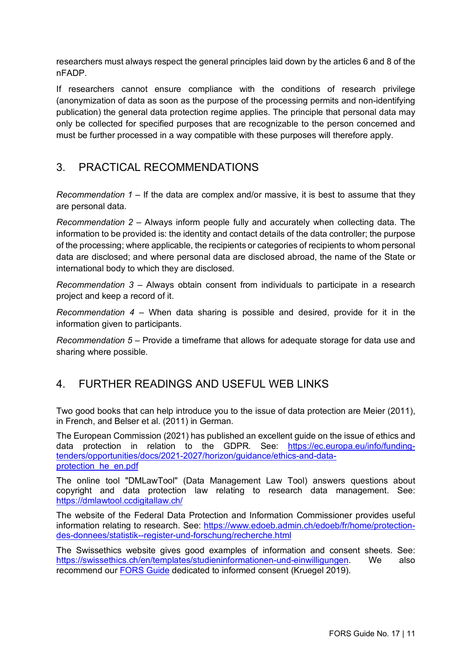researchers must always respect the general principles laid down by the articles 6 and 8 of the nFADP.

If researchers cannot ensure compliance with the conditions of research privilege (anonymization of data as soon as the purpose of the processing permits and non-identifying publication) the general data protection regime applies. The principle that personal data may only be collected for specified purposes that are recognizable to the person concerned and must be further processed in a way compatible with these purposes will therefore apply.

# 3. PRACTICAL RECOMMENDATIONS

*Recommendation 1* – If the data are complex and/or massive, it is best to assume that they are personal data.

*Recommendation 2* – Always inform people fully and accurately when collecting data. The information to be provided is: the identity and contact details of the data controller; the purpose of the processing; where applicable, the recipients or categories of recipients to whom personal data are disclosed; and where personal data are disclosed abroad, the name of the State or international body to which they are disclosed.

*Recommendation 3* – Always obtain consent from individuals to participate in a research project and keep a record of it.

*Recommendation 4* – When data sharing is possible and desired, provide for it in the information given to participants.

*Recommendation 5* – Provide a timeframe that allows for adequate storage for data use and sharing where possible.

## 4. FURTHER READINGS AND USEFUL WEB LINKS

Two good books that can help introduce you to the issue of data protection are Meier (2011), in French, and Belser et al. (2011) in German.

The European Commission (2021) has published an excellent guide on the issue of ethics and data protection in relation to the GDPR. See: https://ec.europa.eu/info/fundingtenders/opportunities/docs/2021-2027/horizon/guidance/ethics-and-dataprotection\_he\_en.pdf

The online tool "DMLawTool" (Data Management Law Tool) answers questions about copyright and data protection law relating to research data management. See: https://dmlawtool.ccdigitallaw.ch/

The website of the Federal Data Protection and Information Commissioner provides useful information relating to research. See: https://www.edoeb.admin.ch/edoeb/fr/home/protectiondes-donnees/statistik--register-und-forschung/recherche.html

The Swissethics website gives good examples of information and consent sheets. See: https://swissethics.ch/en/templates/studieninformationen-und-einwilligungen. We also recommend our FORS Guide dedicated to informed consent (Kruegel 2019).